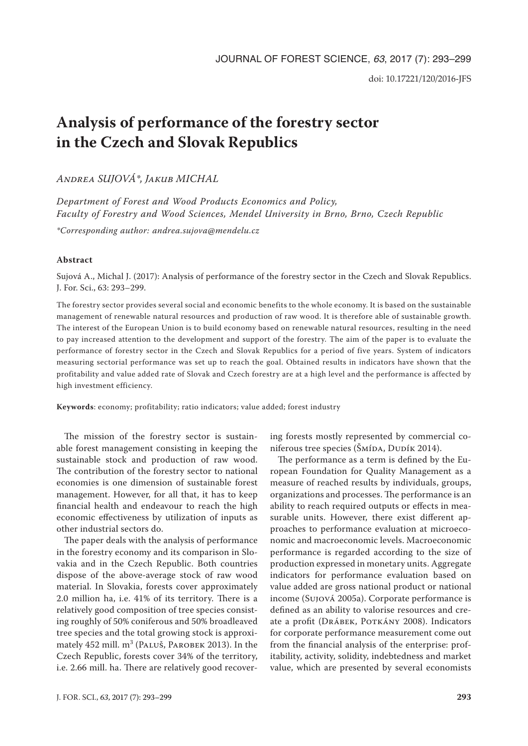# **Analysis of performance of the forestry sector in the Czech and Slovak Republics**

*Andrea SUJOVÁ\*, Jakub MICHAL*

*Department of Forest and Wood Products Economics and Policy, Faculty of Forestry and Wood Sciences, Mendel University in Brno, Brno, Czech Republic*

*\*Corresponding author: andrea.sujova@mendelu.cz*

## **Abstract**

Sujová A., Michal J. (2017): Analysis of performance of the forestry sector in the Czech and Slovak Republics. J. For. Sci., 63: 293–299.

The forestry sector provides several social and economic benefits to the whole economy. It is based on the sustainable management of renewable natural resources and production of raw wood. It is therefore able of sustainable growth. The interest of the European Union is to build economy based on renewable natural resources, resulting in the need to pay increased attention to the development and support of the forestry. The aim of the paper is to evaluate the performance of forestry sector in the Czech and Slovak Republics for a period of five years. System of indicators measuring sectorial performance was set up to reach the goal. Obtained results in indicators have shown that the profitability and value added rate of Slovak and Czech forestry are at a high level and the performance is affected by high investment efficiency.

**Keywords**: economy; profitability; ratio indicators; value added; forest industry

The mission of the forestry sector is sustainable forest management consisting in keeping the sustainable stock and production of raw wood. The contribution of the forestry sector to national economies is one dimension of sustainable forest management. However, for all that, it has to keep financial health and endeavour to reach the high economic effectiveness by utilization of inputs as other industrial sectors do.

The paper deals with the analysis of performance in the forestry economy and its comparison in Slovakia and in the Czech Republic. Both countries dispose of the above-average stock of raw wood material. In Slovakia, forests cover approximately 2.0 million ha, i.e. 41% of its territory. There is a relatively good composition of tree species consisting roughly of 50% coniferous and 50% broadleaved tree species and the total growing stock is approximately 452 mill. m<sup>3</sup> (Paluš, Parobek 2013). In the Czech Republic, forests cover 34% of the territory, i.e. 2.66 mill. ha. There are relatively good recovering forests mostly represented by commercial coniferous tree species (ŠMÍDA, DUDÍK 2014).

The performance as a term is defined by the European Foundation for Quality Management as a measure of reached results by individuals, groups, organizations and processes. The performance is an ability to reach required outputs or effects in measurable units. However, there exist different approaches to performance evaluation at microeconomic and macroeconomic levels. Macroeconomic performance is regarded according to the size of production expressed in monetary units. Aggregate indicators for performance evaluation based on value added are gross national product or national income (Sujová 2005a). Corporate performance is defined as an ability to valorise resources and create a profit (DRÁBEK, POTKÁNY 2008). Indicators for corporate performance measurement come out from the financial analysis of the enterprise: profitability, activity, solidity, indebtedness and market value, which are presented by several economists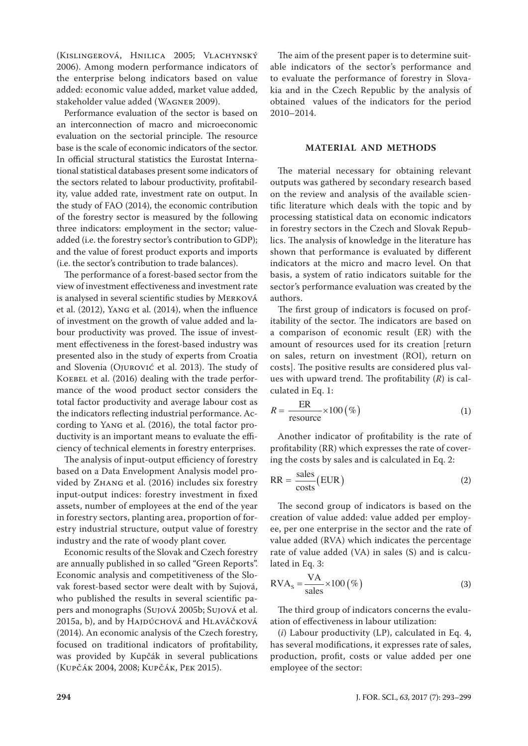(Kislingerová, Hnilica 2005; Vlachynský 2006). Among modern performance indicators of the enterprise belong indicators based on value added: economic value added, market value added, stakeholder value added (Wagner 2009).

Performance evaluation of the sector is based on an interconnection of macro and microeconomic evaluation on the sectorial principle. The resource base is the scale of economic indicators of the sector. In official structural statistics the Eurostat International statistical databases present some indicators of the sectors related to labour productivity, profitability, value added rate, investment rate on output. In the study of FAO (2014), the economic contribution of the forestry sector is measured by the following three indicators: employment in the sector; valueadded (i.e. the forestry sector's contribution to GDP); and the value of forest product exports and imports (i.e. the sector's contribution to trade balances).

The performance of a forest-based sector from the view of investment effectiveness and investment rate is analysed in several scientific studies by Merková et al. (2012), Yang et al. (2014), when the influence of investment on the growth of value added and labour productivity was proved. The issue of investment effectiveness in the forest-based industry was presented also in the study of experts from Croatia and Slovenia (Ojurović et al. 2013). The study of KOEBEL et al. (2016) dealing with the trade performance of the wood product sector considers the total factor productivity and average labour cost as the indicators reflecting industrial performance. According to Yang et al. (2016), the total factor productivity is an important means to evaluate the efficiency of technical elements in forestry enterprises.

The analysis of input-output efficiency of forestry based on a Data Envelopment Analysis model provided by Zhang et al. (2016) includes six forestry input-output indices: forestry investment in fixed assets, number of employees at the end of the year in forestry sectors, planting area, proportion of forestry industrial structure, output value of forestry industry and the rate of woody plant cover.

Economic results of the Slovak and Czech forestry are annually published in so called "Green Reports". Economic analysis and competitiveness of the Slovak forest-based sector were dealt with by Sujová, who published the results in several scientific papers and monographs (Sujová 2005b; Sujová et al. 2015a, b), and by HAJDÚCHOVÁ and HLAVÁČKOVÁ (2014). An economic analysis of the Czech forestry, focused on traditional indicators of profitability, was provided by Kupčák in several publications (Kupčák 2004, 2008; Kupčák, Pek 2015).

The aim of the present paper is to determine suitable indicators of the sector's performance and to evaluate the performance of forestry in Slovakia and in the Czech Republic by the analysis of obtained values of the indicators for the period 2010–2014.

#### **MATERIAL AND METHODS**

The material necessary for obtaining relevant outputs was gathered by secondary research based on the review and analysis of the available scientific literature which deals with the topic and by processing statistical data on economic indicators in forestry sectors in the Czech and Slovak Republics. The analysis of knowledge in the literature has shown that performance is evaluated by different indicators at the micro and macro level. On that basis, a system of ratio indicators suitable for the sector's performance evaluation was created by the authors.

The first group of indicators is focused on profitability of the sector. The indicators are based on a comparison of economic result (ER) with the amount of resources used for its creation [return on sales, return on investment (ROI), return on costs]. The positive results are considered plus values with upward trend. The profitability (*R*) is calculated in Eq. 1:

$$
R = \frac{ER}{\text{resource}} \times 100 \, (\%) \tag{1}
$$

Another indicator of profitability is the rate of profitability (RR) which expresses the rate of covering the costs by sales and is calculated in Eq. 2:

$$
RR = \frac{\text{sales}}{\text{costs}}(EUR)
$$
 (2)

The second group of indicators is based on the creation of value added: value added per employee, per one enterprise in the sector and the rate of value added (RVA) which indicates the percentage rate of value added (VA) in sales (S) and is calculated in Eq. 3:

$$
RVA_s = \frac{VA}{sales} \times 100 \, (\%) \tag{3}
$$

The third group of indicators concerns the evaluation of effectiveness in labour utilization:

(*i*) Labour productivity (LP), calculated in Eq. 4, has several modifications, it expresses rate of sales, production, profit, costs or value added per one employee of the sector: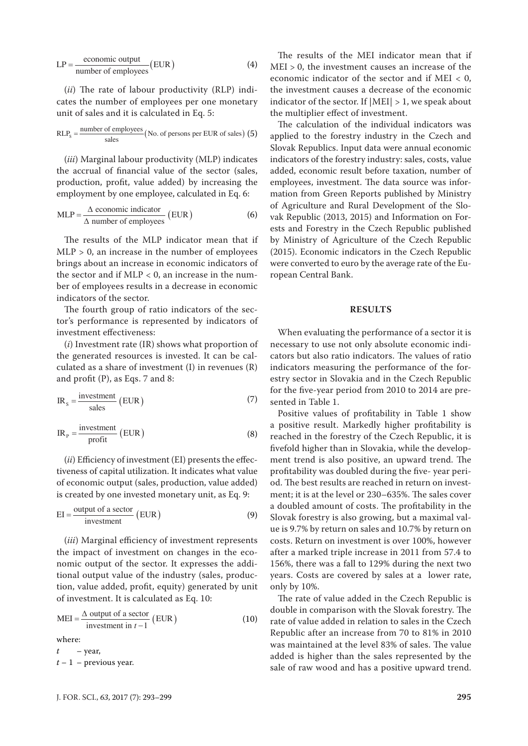$$
LP = \frac{\text{economic output}}{\text{number of employees}} (EUR)
$$
 (4)

(*ii*) The rate of labour productivity (RLP) indicates the number of employees per one monetary unit of sales and it is calculated in Eq. 5:

$$
RLP_s = \frac{number\ of\ employees}{sales} (No.\ of\ persons\ per\ EUR\ of\ sales) (5)
$$

(*iii*) Marginal labour productivity (MLP) indicates the accrual of financial value of the sector (sales, production, profit, value added) by increasing the employment by one employee, calculated in Eq. 6:

$$
MLP = \frac{\Delta \text{ economic indicator}}{\Delta \text{ number of employees}} (EUR)
$$
 (6)

The results of the MLP indicator mean that if MLP > 0, an increase in the number of employees brings about an increase in economic indicators of the sector and if  $MLP < 0$ , an increase in the number of employees results in a decrease in economic indicators of the sector.

The fourth group of ratio indicators of the sector's performance is represented by indicators of investment effectiveness:

(*i*) Investment rate (IR) shows what proportion of the generated resources is invested. It can be calculated as a share of investment (I) in revenues (R) and profit (P), as Eqs. 7 and 8:

$$
IR_s = \frac{\text{investment}}{\text{sales}} \text{ (EUR)} \tag{7}
$$

$$
IR_{P} = \frac{\text{investment}}{\text{profit}} (EUR)
$$
 (8)

(*ii*) Efficiency of investment (EI) presents the effectiveness of capital utilization. It indicates what value of economic output (sales, production, value added) is created by one invested monetary unit, as Eq. 9:

$$
EI = \frac{\text{output of a sector}}{\text{investment}} (EUR)
$$
 (9)

(*iii*) Marginal efficiency of investment represents the impact of investment on changes in the economic output of the sector. It expresses the additional output value of the industry (sales, production, value added, profit, equity) generated by unit of investment. It is calculated as Eq. 10:

$$
MEI = \frac{\Delta \text{ output of a sector}}{\text{ investment in } t - 1} (EUR)
$$
 (10)

where:

 $t -$ year,  $t - 1$  – previous year.

The results of the MEI indicator mean that if MEI > 0, the investment causes an increase of the economic indicator of the sector and if MEI < 0, the investment causes a decrease of the economic indicator of the sector. If  $|MEI| > 1$ , we speak about the multiplier effect of investment.

The calculation of the individual indicators was applied to the forestry industry in the Czech and Slovak Republics. Input data were annual economic indicators of the forestry industry: sales, costs, value added, economic result before taxation, number of employees, investment. The data source was information from Green Reports published by Ministry of Agriculture and Rural Development of the Slovak Republic (2013, 2015) and Information on Forests and Forestry in the Czech Republic published by Ministry of Agriculture of the Czech Republic (2015). Economic indicators in the Czech Republic were converted to euro by the average rate of the European Central Bank.

#### **RESULTS**

When evaluating the performance of a sector it is necessary to use not only absolute economic indicators but also ratio indicators. The values of ratio indicators measuring the performance of the forestry sector in Slovakia and in the Czech Republic for the five-year period from 2010 to 2014 are presented in Table 1.

Positive values of profitability in Table 1 show a positive result. Markedly higher profitability is reached in the forestry of the Czech Republic, it is fivefold higher than in Slovakia, while the development trend is also positive, an upward trend. The profitability was doubled during the five- year period. The best results are reached in return on investment; it is at the level or 230–635%. The sales cover a doubled amount of costs. The profitability in the Slovak forestry is also growing, but a maximal value is 9.7% by return on sales and 10.7% by return on costs. Return on investment is over 100%, however after a marked triple increase in 2011 from 57.4 to 156%, there was a fall to 129% during the next two years. Costs are covered by sales at a lower rate, only by 10%.

The rate of value added in the Czech Republic is double in comparison with the Slovak forestry. The rate of value added in relation to sales in the Czech Republic after an increase from 70 to 81% in 2010 was maintained at the level 83% of sales. The value added is higher than the sales represented by the sale of raw wood and has a positive upward trend.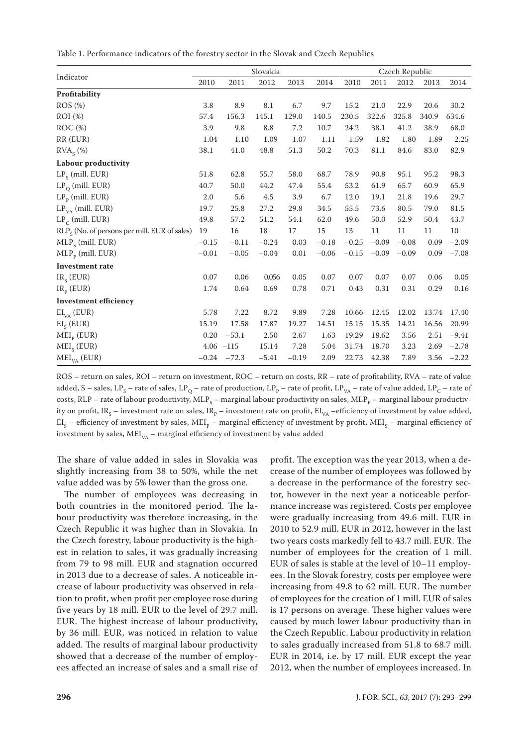| Table 1. Performance indicators of the forestry sector in the Slovak and Czech Republics |  |
|------------------------------------------------------------------------------------------|--|
|------------------------------------------------------------------------------------------|--|

| Indicator                                       | Slovakia |               |         |         |         | Czech Republic |         |         |       |              |
|-------------------------------------------------|----------|---------------|---------|---------|---------|----------------|---------|---------|-------|--------------|
|                                                 | 2010     | 2011          | 2012    | 2013    | 2014    | 2010           | 2011    | 2012    | 2013  | 2014         |
| Profitability                                   |          |               |         |         |         |                |         |         |       |              |
| ROS(%)                                          | 3.8      | 8.9           | 8.1     | 6.7     | 9.7     | 15.2           | 21.0    | 22.9    | 20.6  | 30.2         |
| ROI (%)                                         | 57.4     | 156.3         | 145.1   | 129.0   | 140.5   | 230.5          | 322.6   | 325.8   | 340.9 | 634.6        |
| ROC(%)                                          | 3.9      | 9.8           | 8.8     | 7.2     | 10.7    | 24.2           | 38.1    | 41.2    | 38.9  | 68.0         |
| RR (EUR)                                        | 1.04     | 1.10          | 1.09    | 1.07    | 1.11    | 1.59           | 1.82    | 1.80    | 1.89  | 2.25         |
| RVA <sub>s</sub> (%)                            | 38.1     | $41.0\,$      | 48.8    | 51.3    | 50.2    | 70.3           | 81.1    | 84.6    | 83.0  | 82.9         |
| Labour productivity                             |          |               |         |         |         |                |         |         |       |              |
| $LPs$ (mill. EUR)                               | 51.8     | 62.8          | 55.7    | 58.0    | 68.7    | 78.9           | 90.8    | 95.1    | 95.2  | 98.3         |
| $LP_0$ (mill. EUR)                              | 40.7     | 50.0          | 44.2    | 47.4    | 55.4    | 53.2           | 61.9    | 65.7    | 60.9  | 65.9         |
| $LP_p$ (mill. EUR)                              | 2.0      | 5.6           | 4.5     | 3.9     | 6.7     | 12.0           | 19.1    | 21.8    | 19.6  | 29.7         |
| $LP_{VA}$ (mill. EUR)                           | 19.7     | 25.8          | 27.2    | 29.8    | 34.5    | 55.5           | 73.6    | 80.5    | 79.0  | 81.5         |
| $LP_C$ (mill. EUR)                              | 49.8     | 57.2          | 51.2    | 54.1    | 62.0    | 49.6           | 50.0    | 52.9    | 50.4  | 43.7         |
| $RLP_s$ (No. of persons per mill. EUR of sales) | 19       | 16            | 18      | 17      | 15      | 13             | 11      | 11      | 11    | 10           |
| $MLP_S$ (mill. EUR)                             | $-0.15$  | $-0.11$       | $-0.24$ | 0.03    | $-0.18$ | $-0.25$        | $-0.09$ | $-0.08$ | 0.09  | $-2.09$      |
| $MLP_p$ (mill. EUR)                             | $-0.01$  | $-0.05$       | $-0.04$ | 0.01    | $-0.06$ | $-0.15$        | $-0.09$ | $-0.09$ | 0.09  | $-7.08$      |
| <b>Investment</b> rate                          |          |               |         |         |         |                |         |         |       |              |
| $IR_{S}$ (EUR)                                  | 0.07     | 0.06          | 0.056   | 0.05    | 0.07    | 0.07           | 0.07    | 0.07    | 0.06  | 0.05         |
| $IR_p$ (EUR)                                    | 1.74     | 0.64          | 0.69    | 0.78    | 0.71    | 0.43           | 0.31    | 0.31    | 0.29  | 0.16         |
| <b>Investment efficiency</b>                    |          |               |         |         |         |                |         |         |       |              |
| $EI_{VA}$ (EUR)                                 | 5.78     | 7.22          | 8.72    | 9.89    | 7.28    | 10.66          | 12.45   | 12.02   | 13.74 | 17.40        |
| $EI_{S}$ (EUR)                                  | 15.19    | 17.58         | 17.87   | 19.27   | 14.51   | 15.15          | 15.35   | 14.21   | 16.56 | 20.99        |
| $MEI_{p}$ (EUR)                                 | 0.20     | $-53.1$       | 2.50    | 2.67    | 1.63    | 19.29          | 18.62   | 3.56    | 2.51  | $-9.41$      |
| $MEIs$ (EUR)                                    |          | $4.06 - 115$  | 15.14   | 7.28    | 5.04    | 31.74          | 18.70   | 3.23    | 2.69  | $-2.78$      |
| $MEI_{VA}$ (EUR)                                |          | $-0.24 -72.3$ | $-5.41$ | $-0.19$ | 2.09    | 22.73          | 42.38   | 7.89    |       | $3.56 -2.22$ |

ROS – return on sales, ROI – return on investment, ROC – return on costs, RR – rate of profitability, RVA – rate of value added, S – sales, LP<sub>S</sub> – rate of sales, LP<sub>O</sub> – rate of production, LP<sub>p</sub> – rate of profit, LP<sub>VA</sub> – rate of value added, LP<sub>C</sub> – rate of costs, RLP – rate of labour productivity, MLP<sub>s</sub> – marginal labour productivity on sales, MLP<sub>p</sub> – marginal labour productivity on profit, IR<sub>S</sub> – investment rate on sales, IR<sub>P</sub> – investment rate on profit, EI<sub>VA</sub> –efficiency of investment by value added,  $EI_s$  – efficiency of investment by sales, MEI<sub>p</sub> – marginal efficiency of investment by profit, MEI<sub>s</sub> – marginal efficiency of investment by sales,  $MEI_{VA}$  – marginal efficiency of investment by value added

The share of value added in sales in Slovakia was slightly increasing from 38 to 50%, while the net value added was by 5% lower than the gross one.

The number of employees was decreasing in both countries in the monitored period. The labour productivity was therefore increasing, in the Czech Republic it was higher than in Slovakia. In the Czech forestry, labour productivity is the highest in relation to sales, it was gradually increasing from 79 to 98 mill. EUR and stagnation occurred in 2013 due to a decrease of sales. A noticeable increase of labour productivity was observed in relation to profit, when profit per employee rose during five years by 18 mill. EUR to the level of 29.7 mill. EUR. The highest increase of labour productivity, by 36 mill. EUR, was noticed in relation to value added. The results of marginal labour productivity showed that a decrease of the number of employees affected an increase of sales and a small rise of

profit. The exception was the year 2013, when a decrease of the number of employees was followed by a decrease in the performance of the forestry sector, however in the next year a noticeable performance increase was registered. Costs per employee were gradually increasing from 49.6 mill. EUR in 2010 to 52.9 mill. EUR in 2012, however in the last two years costs markedly fell to 43.7 mill. EUR. The number of employees for the creation of 1 mill. EUR of sales is stable at the level of 10–11 employees. In the Slovak forestry, costs per employee were increasing from 49.8 to 62 mill. EUR. The number of employees for the creation of 1 mill. EUR of sales is 17 persons on average. These higher values were caused by much lower labour productivity than in the Czech Republic. Labour productivity in relation to sales gradually increased from 51.8 to 68.7 mill. EUR in 2014, i.e. by 17 mill. EUR except the year 2012, when the number of employees increased. In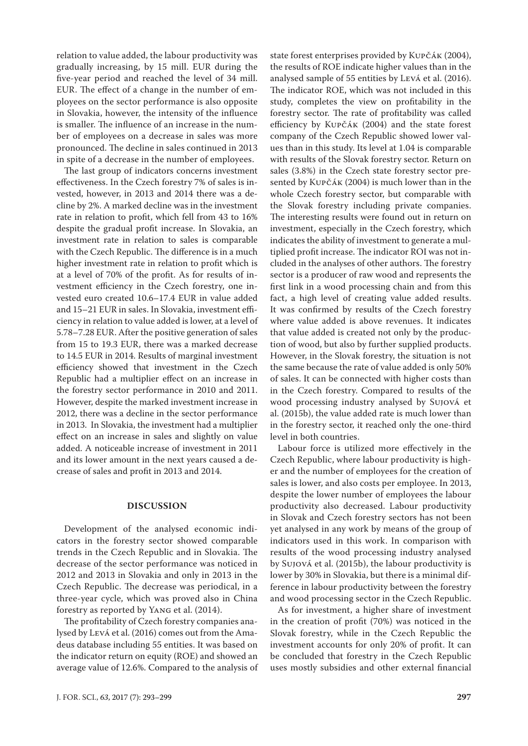relation to value added, the labour productivity was gradually increasing, by 15 mill. EUR during the five-year period and reached the level of 34 mill. EUR. The effect of a change in the number of employees on the sector performance is also opposite in Slovakia, however, the intensity of the influence is smaller. The influence of an increase in the number of employees on a decrease in sales was more pronounced. The decline in sales continued in 2013 in spite of a decrease in the number of employees.

The last group of indicators concerns investment effectiveness. In the Czech forestry 7% of sales is invested, however, in 2013 and 2014 there was a decline by 2%. A marked decline was in the investment rate in relation to profit, which fell from 43 to 16% despite the gradual profit increase. In Slovakia, an investment rate in relation to sales is comparable with the Czech Republic. The difference is in a much higher investment rate in relation to profit which is at a level of 70% of the profit. As for results of investment efficiency in the Czech forestry, one invested euro created 10.6–17.4 EUR in value added and 15–21 EUR in sales. In Slovakia, investment efficiency in relation to value added is lower, at a level of 5.78–7.28 EUR. After the positive generation of sales from 15 to 19.3 EUR, there was a marked decrease to 14.5 EUR in 2014. Results of marginal investment efficiency showed that investment in the Czech Republic had a multiplier effect on an increase in the forestry sector performance in 2010 and 2011. However, despite the marked investment increase in 2012, there was a decline in the sector performance in 2013. In Slovakia, the investment had a multiplier effect on an increase in sales and slightly on value added. A noticeable increase of investment in 2011 and its lower amount in the next years caused a decrease of sales and profit in 2013 and 2014.

## **DISCUSSION**

Development of the analysed economic indicators in the forestry sector showed comparable trends in the Czech Republic and in Slovakia. The decrease of the sector performance was noticed in 2012 and 2013 in Slovakia and only in 2013 in the Czech Republic. The decrease was periodical, in a three-year cycle, which was proved also in China forestry as reported by Yang et al. (2014).

The profitability of Czech forestry companies analysed by Levá et al. (2016) comes out from the Amadeus database including 55 entities. It was based on the indicator return on equity (ROE) and showed an average value of 12.6%. Compared to the analysis of

state forest enterprises provided by Kupčák (2004), the results of ROE indicate higher values than in the analysed sample of 55 entities by Levá et al. (2016). The indicator ROE, which was not included in this study, completes the view on profitability in the forestry sector. The rate of profitability was called efficiency by Kupčák (2004) and the state forest company of the Czech Republic showed lower values than in this study. Its level at 1.04 is comparable with results of the Slovak forestry sector. Return on sales (3.8%) in the Czech state forestry sector presented by Kupčák (2004) is much lower than in the whole Czech forestry sector, but comparable with the Slovak forestry including private companies. The interesting results were found out in return on investment, especially in the Czech forestry, which indicates the ability of investment to generate a multiplied profit increase. The indicator ROI was not included in the analyses of other authors. The forestry sector is a producer of raw wood and represents the first link in a wood processing chain and from this fact, a high level of creating value added results. It was confirmed by results of the Czech forestry where value added is above revenues. It indicates that value added is created not only by the production of wood, but also by further supplied products. However, in the Slovak forestry, the situation is not the same because the rate of value added is only 50% of sales. It can be connected with higher costs than in the Czech forestry. Compared to results of the wood processing industry analysed by Sujová et al. (2015b), the value added rate is much lower than in the forestry sector, it reached only the one-third level in both countries.

Labour force is utilized more effectively in the Czech Republic, where labour productivity is higher and the number of employees for the creation of sales is lower, and also costs per employee. In 2013, despite the lower number of employees the labour productivity also decreased. Labour productivity in Slovak and Czech forestry sectors has not been yet analysed in any work by means of the group of indicators used in this work. In comparison with results of the wood processing industry analysed by Sujová et al. (2015b), the labour productivity is lower by 30% in Slovakia, but there is a minimal difference in labour productivity between the forestry and wood processing sector in the Czech Republic.

As for investment, a higher share of investment in the creation of profit (70%) was noticed in the Slovak forestry, while in the Czech Republic the investment accounts for only 20% of profit. It can be concluded that forestry in the Czech Republic uses mostly subsidies and other external financial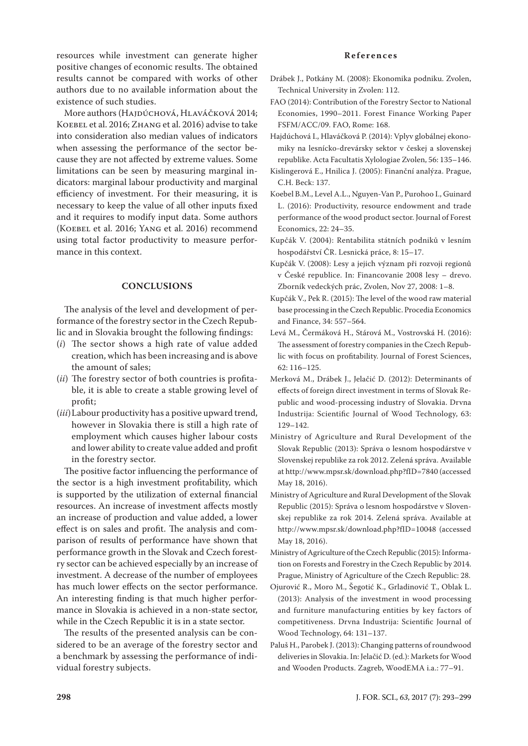resources while investment can generate higher positive changes of economic results. The obtained results cannot be compared with works of other authors due to no available information about the existence of such studies.

More authors (HAJDÚCHOVÁ, HLAVÁČKOVÁ 2014; KOEBEL et al. 2016; ZHANG et al. 2016) advise to take into consideration also median values of indicators when assessing the performance of the sector because they are not affected by extreme values. Some limitations can be seen by measuring marginal indicators: marginal labour productivity and marginal efficiency of investment. For their measuring, it is necessary to keep the value of all other inputs fixed and it requires to modify input data. Some authors (Koebel et al. 2016; Yang et al. 2016) recommend using total factor productivity to measure performance in this context.

## **CONCLUSIONS**

The analysis of the level and development of performance of the forestry sector in the Czech Republic and in Slovakia brought the following findings:

- (*i*) The sector shows a high rate of value added creation, which has been increasing and is above the amount of sales;
- (*ii*) The forestry sector of both countries is profitable, it is able to create a stable growing level of profit;
- (*iii*) Labour productivity has a positive upward trend, however in Slovakia there is still a high rate of employment which causes higher labour costs and lower ability to create value added and profit in the forestry sector.

The positive factor influencing the performance of the sector is a high investment profitability, which is supported by the utilization of external financial resources. An increase of investment affects mostly an increase of production and value added, a lower effect is on sales and profit. The analysis and comparison of results of performance have shown that performance growth in the Slovak and Czech forestry sector can be achieved especially by an increase of investment. A decrease of the number of employees has much lower effects on the sector performance. An interesting finding is that much higher performance in Slovakia is achieved in a non-state sector, while in the Czech Republic it is in a state sector.

The results of the presented analysis can be considered to be an average of the forestry sector and a benchmark by assessing the performance of individual forestry subjects.

### **References**

- Drábek J., Potkány M. (2008): Ekonomika podniku. Zvolen, Technical University in Zvolen: 112.
- FAO (2014): Contribution of the Forestry Sector to National Economies, 1990–2011. Forest Finance Working Paper FSFM/ACC/09. FAO, Rome: 168.
- Hajdúchová I., Hlaváčková P. (2014): Vplyv globálnej ekonomiky na lesnícko-drevársky sektor v českej a slovenskej republike. Acta Facultatis Xylologiae Zvolen, 56: 135–146.
- Kislingerová E., Hnilica J. (2005): Finanční analýza. Prague, C.H. Beck: 137.
- Koebel B.M., Level A.L., Nguyen-Van P., Purohoo I., Guinard L. (2016): Productivity, resource endowment and trade performance of the wood product sector. Journal of Forest Economics, 22: 24–35.
- Kupčák V. (2004): Rentabilita státních podniků v lesním hospodářství ČR. Lesnická práce, 8: 15–17.
- Kupčák V. (2008): Lesy a jejich význam při rozvoji regionů v České republice. In: Financovanie 2008 lesy – drevo. Zborník vedeckých prác, Zvolen, Nov 27, 2008: 1–8.
- Kupčák V., Pek R. (2015): The level of the wood raw material base processing in the Czech Republic. Procedia Economics and Finance, 34: 557–564.
- Levá M., Čermáková H., Stárová M., Vostrovská H. (2016): The assessment of forestry companies in the Czech Republic with focus on profitability. Journal of Forest Sciences, 62: 116–125.
- Merková M., Drábek J., Jelačić D. (2012): Determinants of effects of foreign direct investment in terms of Slovak Republic and wood-processing industry of Slovakia. Drvna Industrija: Scientific Journal of Wood Technology, 63: 129–142.
- Ministry of Agriculture and Rural Development of the Slovak Republic (2013): Správa o lesnom hospodárstve v Slovenskej republike za rok 2012. Zelená správa. Available at http://www.mpsr.sk/download.php?fID=7840 (accessed May 18, 2016).
- Ministry of Agriculture and Rural Development of the Slovak Republic (2015): Správa o lesnom hospodárstve v Slovenskej republike za rok 2014. Zelená správa. Available at http://www.mpsr.sk/download.php?fID=10048 (accessed May 18, 2016).
- Ministry of Agriculture of the Czech Republic (2015): Information on Forests and Forestry in the Czech Republic by 2014. Prague, Ministry of Agriculture of the Czech Republic: 28.
- Ojurović R., Moro M., Šegotić K., Grladinović T., Oblak L. (2013): Analysis of the investment in wood processing and furniture manufacturing entities by key factors of competitiveness. Drvna Industrija: Scientific Journal of Wood Technology, 64: 131–137.
- Paluš H., Parobek J. (2013): Changing patterns of roundwood deliveries in Slovakia. In: Jelačić D. (ed.): Markets for Wood and Wooden Products. Zagreb, WoodEMA i.a.: 77–91.